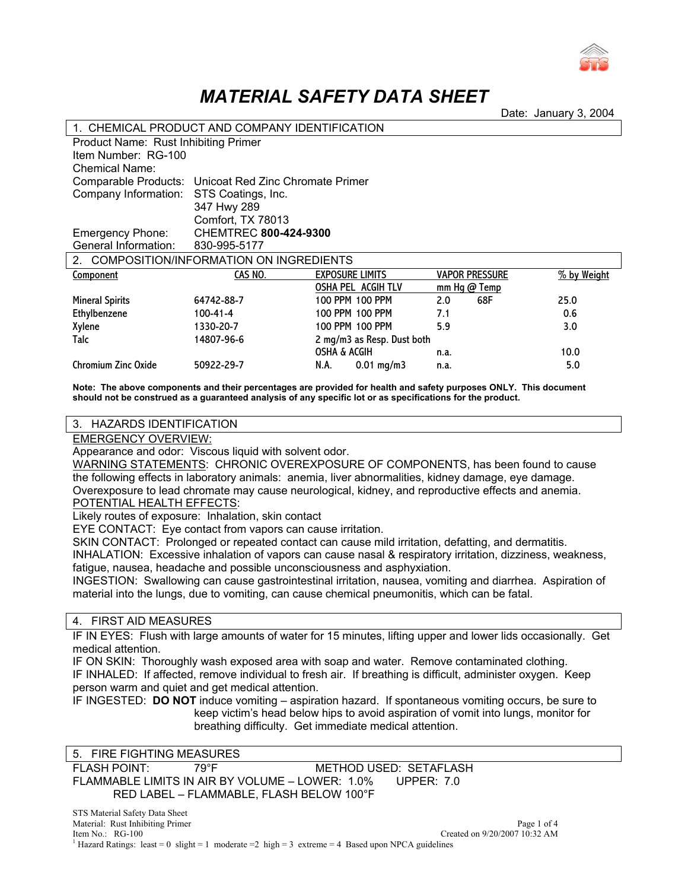

# *MATERIAL SAFETY DATA SHEET*

Date: January 3, 2004

| 1. CHEMICAL PRODUCT AND COMPANY IDENTIFICATION |                                                       |                            |            |                       |             |
|------------------------------------------------|-------------------------------------------------------|----------------------------|------------|-----------------------|-------------|
|                                                | <b>Product Name: Rust Inhibiting Primer</b>           |                            |            |                       |             |
| Item Number: RG-100                            |                                                       |                            |            |                       |             |
| Chemical Name:                                 |                                                       |                            |            |                       |             |
|                                                | Comparable Products: Unicoat Red Zinc Chromate Primer |                            |            |                       |             |
| Company Information:                           | STS Coatings, Inc.                                    |                            |            |                       |             |
|                                                | 347 Hwy 289                                           |                            |            |                       |             |
|                                                | Comfort, TX 78013                                     |                            |            |                       |             |
| <b>Emergency Phone:</b>                        | <b>CHEMTREC 800-424-9300</b>                          |                            |            |                       |             |
| General Information:                           | 830-995-5177                                          |                            |            |                       |             |
| COMPOSITION/INFORMATION ON INGREDIENTS         |                                                       |                            |            |                       |             |
| Component                                      | CAS NO.                                               | <b>EXPOSURE LIMITS</b>     |            | <b>VAPOR PRESSURE</b> | % by Weight |
|                                                |                                                       | OSHA PEL ACGIH TLV         | mm Hg@Temp |                       |             |
| <b>Mineral Spirits</b>                         | 64742-88-7                                            | 100 PPM 100 PPM            | 2.0        | 68F                   | 25.0        |
| Ethylbenzene                                   | $100 - 41 - 4$                                        | 100 PPM 100 PPM            | 7.1        |                       | 0.6         |
| Xylene                                         | 1330-20-7                                             | 100 PPM 100 PPM            | 5.9        |                       | 3.0         |
| Talc                                           | 14807-96-6                                            | 2 mg/m3 as Resp. Dust both |            |                       |             |
|                                                |                                                       | <b>OSHA &amp; ACGIH</b>    | n.a.       |                       | 10.0        |
| Chromium Zinc Oxide                            | 50922-29-7                                            | $0.01$ mg/m3<br>N.A.       | n.a.       |                       | 5.0         |

**Note: The above components and their percentages are provided for health and safety purposes ONLY. This document should not be construed as a guaranteed analysis of any specific lot or as specifications for the product.** 

### 3. HAZARDS IDENTIFICATION

EMERGENCY OVERVIEW:

Appearance and odor: Viscous liquid with solvent odor.

WARNING STATEMENTS: CHRONIC OVEREXPOSURE OF COMPONENTS, has been found to cause the following effects in laboratory animals: anemia, liver abnormalities, kidney damage, eye damage. Overexposure to lead chromate may cause neurological, kidney, and reproductive effects and anemia. POTENTIAL HEALTH EFFECTS:

Likely routes of exposure: Inhalation, skin contact

EYE CONTACT: Eye contact from vapors can cause irritation.

SKIN CONTACT: Prolonged or repeated contact can cause mild irritation, defatting, and dermatitis.

INHALATION: Excessive inhalation of vapors can cause nasal & respiratory irritation, dizziness, weakness, fatigue, nausea, headache and possible unconsciousness and asphyxiation.

INGESTION: Swallowing can cause gastrointestinal irritation, nausea, vomiting and diarrhea. Aspiration of material into the lungs, due to vomiting, can cause chemical pneumonitis, which can be fatal.

## 4. FIRST AID MEASURES

IF IN EYES: Flush with large amounts of water for 15 minutes, lifting upper and lower lids occasionally. Get medical attention.

IF ON SKIN: Thoroughly wash exposed area with soap and water. Remove contaminated clothing. IF INHALED: If affected, remove individual to fresh air. If breathing is difficult, administer oxygen. Keep person warm and quiet and get medical attention.

IF INGESTED: **DO NOT** induce vomiting – aspiration hazard. If spontaneous vomiting occurs, be sure to keep victim's head below hips to avoid aspiration of vomit into lungs, monitor for breathing difficulty. Get immediate medical attention.

| 5. FIRE FIGHTING MEASURES |      |                                                               |
|---------------------------|------|---------------------------------------------------------------|
| FLASH POINT:              | 70°F | METHOD USED: SETAFLASH                                        |
|                           |      | FLAMMABLE LIMITS IN AIR BY VOLUME – LOWER: 1.0%<br>UPPER: 7.0 |
|                           |      | RED LABEL - FLAMMABLE, FLASH BELOW 100°F                      |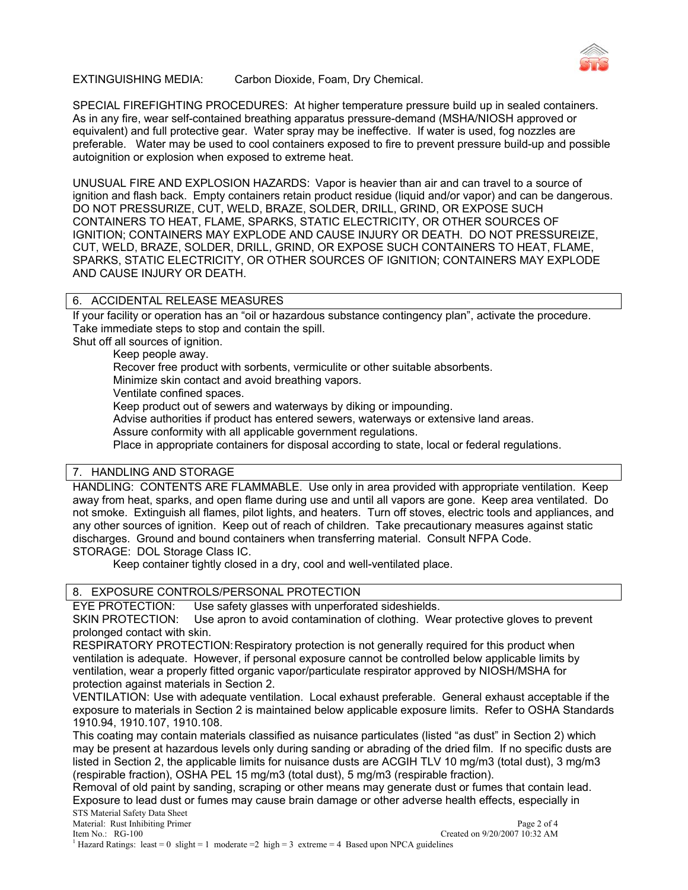

## EXTINGUISHING MEDIA: Carbon Dioxide, Foam, Dry Chemical.

SPECIAL FIREFIGHTING PROCEDURES: At higher temperature pressure build up in sealed containers. As in any fire, wear self-contained breathing apparatus pressure-demand (MSHA/NIOSH approved or equivalent) and full protective gear. Water spray may be ineffective. If water is used, fog nozzles are preferable. Water may be used to cool containers exposed to fire to prevent pressure build-up and possible autoignition or explosion when exposed to extreme heat.

UNUSUAL FIRE AND EXPLOSION HAZARDS: Vapor is heavier than air and can travel to a source of ignition and flash back. Empty containers retain product residue (liquid and/or vapor) and can be dangerous. DO NOT PRESSURIZE, CUT, WELD, BRAZE, SOLDER, DRILL, GRIND, OR EXPOSE SUCH CONTAINERS TO HEAT, FLAME, SPARKS, STATIC ELECTRICITY, OR OTHER SOURCES OF IGNITION; CONTAINERS MAY EXPLODE AND CAUSE INJURY OR DEATH. DO NOT PRESSUREIZE, CUT, WELD, BRAZE, SOLDER, DRILL, GRIND, OR EXPOSE SUCH CONTAINERS TO HEAT, FLAME, SPARKS, STATIC ELECTRICITY, OR OTHER SOURCES OF IGNITION; CONTAINERS MAY EXPLODE AND CAUSE INJURY OR DEATH.

## 6. ACCIDENTAL RELEASE MEASURES

If your facility or operation has an "oil or hazardous substance contingency plan", activate the procedure. Take immediate steps to stop and contain the spill.

Shut off all sources of ignition.

Keep people away.

Recover free product with sorbents, vermiculite or other suitable absorbents.

Minimize skin contact and avoid breathing vapors.

Ventilate confined spaces.

Keep product out of sewers and waterways by diking or impounding.

Advise authorities if product has entered sewers, waterways or extensive land areas.

Assure conformity with all applicable government regulations.

Place in appropriate containers for disposal according to state, local or federal regulations.

# 7. HANDLING AND STORAGE

HANDLING: CONTENTS ARE FLAMMABLE. Use only in area provided with appropriate ventilation. Keep away from heat, sparks, and open flame during use and until all vapors are gone. Keep area ventilated. Do not smoke. Extinguish all flames, pilot lights, and heaters. Turn off stoves, electric tools and appliances, and any other sources of ignition. Keep out of reach of children. Take precautionary measures against static discharges. Ground and bound containers when transferring material. Consult NFPA Code. STORAGE: DOL Storage Class IC.

Keep container tightly closed in a dry, cool and well-ventilated place.

# 8. EXPOSURE CONTROLS/PERSONAL PROTECTION

EYE PROTECTION: Use safety glasses with unperforated sideshields.

SKIN PROTECTION: Use apron to avoid contamination of clothing. Wear protective gloves to prevent prolonged contact with skin.

RESPIRATORY PROTECTION: Respiratory protection is not generally required for this product when ventilation is adequate. However, if personal exposure cannot be controlled below applicable limits by ventilation, wear a properly fitted organic vapor/particulate respirator approved by NIOSH/MSHA for protection against materials in Section 2.

VENTILATION: Use with adequate ventilation. Local exhaust preferable. General exhaust acceptable if the exposure to materials in Section 2 is maintained below applicable exposure limits. Refer to OSHA Standards 1910.94, 1910.107, 1910.108.

This coating may contain materials classified as nuisance particulates (listed "as dust" in Section 2) which may be present at hazardous levels only during sanding or abrading of the dried film. If no specific dusts are listed in Section 2, the applicable limits for nuisance dusts are ACGIH TLV 10 mg/m3 (total dust), 3 mg/m3 (respirable fraction), OSHA PEL 15 mg/m3 (total dust), 5 mg/m3 (respirable fraction).

Removal of old paint by sanding, scraping or other means may generate dust or fumes that contain lead. Exposure to lead dust or fumes may cause brain damage or other adverse health effects, especially in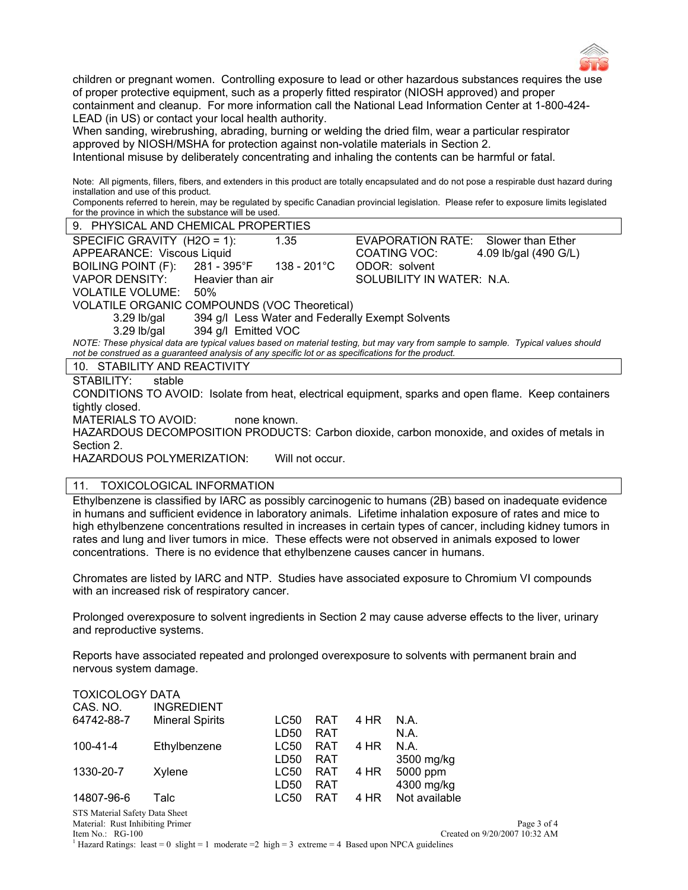

children or pregnant women. Controlling exposure to lead or other hazardous substances requires the use of proper protective equipment, such as a properly fitted respirator (NIOSH approved) and proper containment and cleanup. For more information call the National Lead Information Center at 1-800-424- LEAD (in US) or contact your local health authority.

When sanding, wirebrushing, abrading, burning or welding the dried film, wear a particular respirator approved by NIOSH/MSHA for protection against non-volatile materials in Section 2. Intentional misuse by deliberately concentrating and inhaling the contents can be harmful or fatal.

Note: All pigments, fillers, fibers, and extenders in this product are totally encapsulated and do not pose a respirable dust hazard during installation and use of this product.

Components referred to herein, may be regulated by specific Canadian provincial legislation. Please refer to exposure limits legislated for the province in which the substance will be used.

| 9. PHYSICAL AND CHEMICAL PROPERTIES                                                                                               |             |                                                  |                       |  |  |  |
|-----------------------------------------------------------------------------------------------------------------------------------|-------------|--------------------------------------------------|-----------------------|--|--|--|
| SPECIFIC GRAVITY $(H2O = 1)$ :                                                                                                    | 1.35        | EVAPORATION RATE:                                | Slower than Ether     |  |  |  |
| APPEARANCE: Viscous Liquid                                                                                                        |             | COATING VOC:                                     | 4.09 lb/gal (490 G/L) |  |  |  |
| <b>BOILING POINT (F):</b><br>281 - 395°F                                                                                          | 138 - 201°C | ODOR: solvent                                    |                       |  |  |  |
| VAPOR DENSITY:<br>Heavier than air                                                                                                |             | SOLUBILITY IN WATER: N.A.                        |                       |  |  |  |
| VOLATILE VOLUME:<br>50%                                                                                                           |             |                                                  |                       |  |  |  |
| VOLATILE ORGANIC COMPOUNDS (VOC Theoretical)                                                                                      |             |                                                  |                       |  |  |  |
| $3.29$ lb/gal                                                                                                                     |             | 394 g/l Less Water and Federally Exempt Solvents |                       |  |  |  |
| $3.29$ lb/gal<br>394 g/l Emitted VOC                                                                                              |             |                                                  |                       |  |  |  |
| NOTE: These physical data are typical values based on material testing, but may vary from sample to sample. Typical values should |             |                                                  |                       |  |  |  |
| not be construed as a guaranteed analysis of any specific lot or as specifications for the product.                               |             |                                                  |                       |  |  |  |
| 10. STABILITY AND REACTIVITY                                                                                                      |             |                                                  |                       |  |  |  |
| STABILITY:<br>stable                                                                                                              |             |                                                  |                       |  |  |  |
| CONDITIONS TO AVOID: Isolate from heat, electrical equipment, sparks and open flame. Keep containers                              |             |                                                  |                       |  |  |  |
| tightly closed.                                                                                                                   |             |                                                  |                       |  |  |  |
| <b>MATERIALS TO AVOID:</b><br>none known.                                                                                         |             |                                                  |                       |  |  |  |
| HAZARDOUS DECOMPOSITION PRODUCTS: Carbon dioxide, carbon monoxide, and oxides of metals in                                        |             |                                                  |                       |  |  |  |

HAZARDOUS POLYMERIZATION: Will not occur.

Section 2.

# 11. TOXICOLOGICAL INFORMATION

Ethylbenzene is classified by IARC as possibly carcinogenic to humans (2B) based on inadequate evidence in humans and sufficient evidence in laboratory animals. Lifetime inhalation exposure of rates and mice to high ethylbenzene concentrations resulted in increases in certain types of cancer, including kidney tumors in rates and lung and liver tumors in mice. These effects were not observed in animals exposed to lower concentrations. There is no evidence that ethylbenzene causes cancer in humans.

Chromates are listed by IARC and NTP. Studies have associated exposure to Chromium VI compounds with an increased risk of respiratory cancer.

Prolonged overexposure to solvent ingredients in Section 2 may cause adverse effects to the liver, urinary and reproductive systems.

Reports have associated repeated and prolonged overexposure to solvents with permanent brain and nervous system damage.

| <b>TOXICOLOGY DATA</b>         |                        |             |            |      |               |  |
|--------------------------------|------------------------|-------------|------------|------|---------------|--|
| CAS. NO.                       | <b>INGREDIENT</b>      |             |            |      |               |  |
| 64742-88-7                     | <b>Mineral Spirits</b> | LC50        | <b>RAT</b> | 4 HR | N.A.          |  |
|                                |                        | LD50        | <b>RAT</b> |      | N.A.          |  |
| $100 - 41 - 4$                 | Ethylbenzene           | LC50        | <b>RAT</b> | 4 HR | N.A.          |  |
|                                |                        | LD50        | <b>RAT</b> |      | 3500 mg/kg    |  |
| 1330-20-7                      | Xylene                 | <b>LC50</b> | <b>RAT</b> | 4 HR | 5000 ppm      |  |
|                                |                        | LD50        | RAT        |      | 4300 mg/kg    |  |
| 14807-96-6                     | Talc                   | LC50        | <b>RAT</b> | 4 HR | Not available |  |
| STS Material Safety Data Sheet |                        |             |            |      |               |  |

<sup>1</sup> Hazard Ratings: least = 0 slight = 1 moderate = 2 high = 3 extreme = 4 Based upon NPCA guidelines